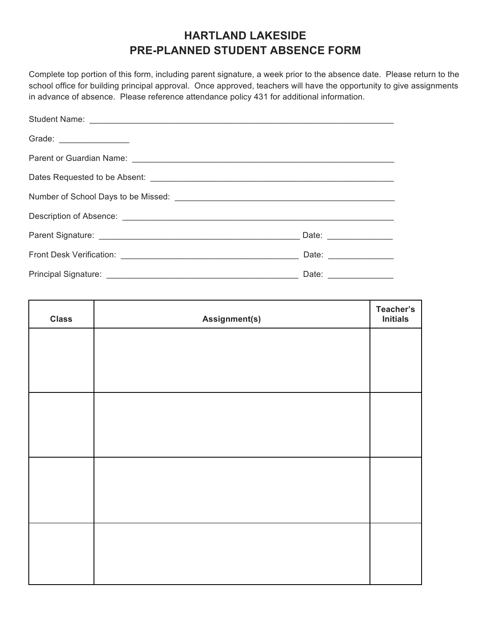# **HARTLAND LAKESIDE PRE-PLANNED STUDENT ABSENCE FORM**

Complete top portion of this form, including parent signature, a week prior to the absence date. Please return to the school office for building principal approval. Once approved, teachers will have the opportunity to give assignments in advance of absence. Please reference attendance policy 431 for additional information.

| Grade: _________________ |                                    |  |
|--------------------------|------------------------------------|--|
|                          |                                    |  |
|                          |                                    |  |
|                          |                                    |  |
|                          |                                    |  |
|                          |                                    |  |
|                          | Date: <u>_____________________</u> |  |
|                          |                                    |  |

| <b>Class</b> | Assignment(s) | Teacher's<br><b>Initials</b> |
|--------------|---------------|------------------------------|
|              |               |                              |
|              |               |                              |
|              |               |                              |
|              |               |                              |
|              |               |                              |
|              |               |                              |
|              |               |                              |
|              |               |                              |